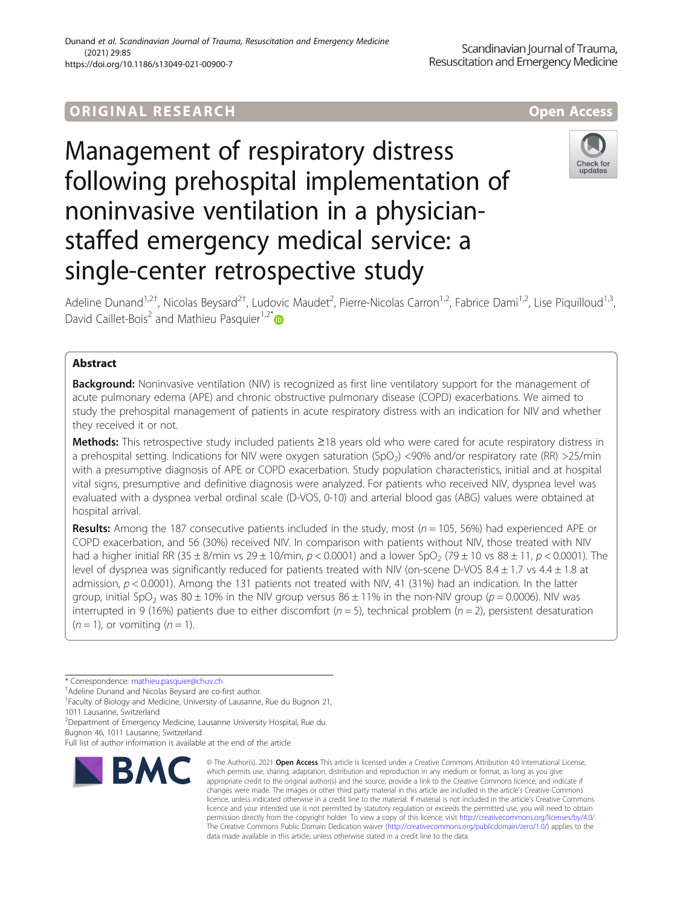# ORIGINA L R E S EA RCH Open Access

# Management of respiratory distress following prehospital implementation of noninvasive ventilation in a physicianstaffed emergency medical service: a single-center retrospective study



Adeline Dunand<sup>1,2†</sup>, Nicolas Beysard<sup>2†</sup>, Ludovic Maudet<sup>2</sup>, Pierre-Nicolas Carron<sup>1,2</sup>, Fabrice Dami<sup>1,2</sup>, Lise Piquilloud<sup>1,3</sup>, David Caillet-Bois<sup>2</sup> and Mathieu Pasquier<sup>1,2\*</sup>

# Abstract

**Background:** Noninvasive ventilation (NIV) is recognized as first line ventilatory support for the management of acute pulmonary edema (APE) and chronic obstructive pulmonary disease (COPD) exacerbations. We aimed to study the prehospital management of patients in acute respiratory distress with an indication for NIV and whether they received it or not.

Methods: This retrospective study included patients ≥18 years old who were cared for acute respiratory distress in a prehospital setting. Indications for NIV were oxygen saturation (SpO<sub>2</sub>) <90% and/or respiratory rate (RR) >25/min with a presumptive diagnosis of APE or COPD exacerbation. Study population characteristics, initial and at hospital vital signs, presumptive and definitive diagnosis were analyzed. For patients who received NIV, dyspnea level was evaluated with a dyspnea verbal ordinal scale (D-VOS, 0-10) and arterial blood gas (ABG) values were obtained at hospital arrival.

**Results:** Among the 187 consecutive patients included in the study, most ( $n = 105$ , 56%) had experienced APE or COPD exacerbation, and 56 (30%) received NIV. In comparison with patients without NIV, those treated with NIV had a higher initial RR (35 ± 8/min vs 29 ± 10/min,  $p < 0.0001$ ) and a lower SpO<sub>2</sub> (79 ± 10 vs 88 ± 11,  $p < 0.0001$ ). The level of dyspnea was significantly reduced for patients treated with NIV (on-scene D-VOS 8.4 ± 1.7 vs 4.4 ± 1.8 at admission, p < 0.0001). Among the 131 patients not treated with NIV, 41 (31%) had an indication. In the latter group, initial SpO<sub>2</sub> was 80 ± 10% in the NIV group versus 86 ± 11% in the non-NIV group ( $p = 0.0006$ ). NIV was interrupted in 9 (16%) patients due to either discomfort ( $n = 5$ ), technical problem ( $n = 2$ ), persistent desaturation  $(n = 1)$ , or vomiting  $(n = 1)$ .

<sup>2</sup>Department of Emergency Medicine, Lausanne University Hospital, Rue du

Bugnon 46, 1011 Lausanne, Switzerland

Full list of author information is available at the end of the article



<sup>©</sup> The Author(s), 2021 **Open Access** This article is licensed under a Creative Commons Attribution 4.0 International License, which permits use, sharing, adaptation, distribution and reproduction in any medium or format, as long as you give appropriate credit to the original author(s) and the source, provide a link to the Creative Commons licence, and indicate if changes were made. The images or other third party material in this article are included in the article's Creative Commons licence, unless indicated otherwise in a credit line to the material. If material is not included in the article's Creative Commons licence and your intended use is not permitted by statutory regulation or exceeds the permitted use, you will need to obtain permission directly from the copyright holder. To view a copy of this licence, visit [http://creativecommons.org/licenses/by/4.0/.](http://creativecommons.org/licenses/by/4.0/) The Creative Commons Public Domain Dedication waiver [\(http://creativecommons.org/publicdomain/zero/1.0/](http://creativecommons.org/publicdomain/zero/1.0/)) applies to the data made available in this article, unless otherwise stated in a credit line to the data.

<sup>\*</sup> Correspondence: [mathieu.pasquier@chuv.ch](mailto:mathieu.pasquier@chuv.ch) †

<sup>&</sup>lt;sup>+</sup>Adeline Dunand and Nicolas Beysard are co-first author.

<sup>&</sup>lt;sup>1</sup> Faculty of Biology and Medicine, University of Lausanne, Rue du Bugnon 21, 1011 Lausanne, Switzerland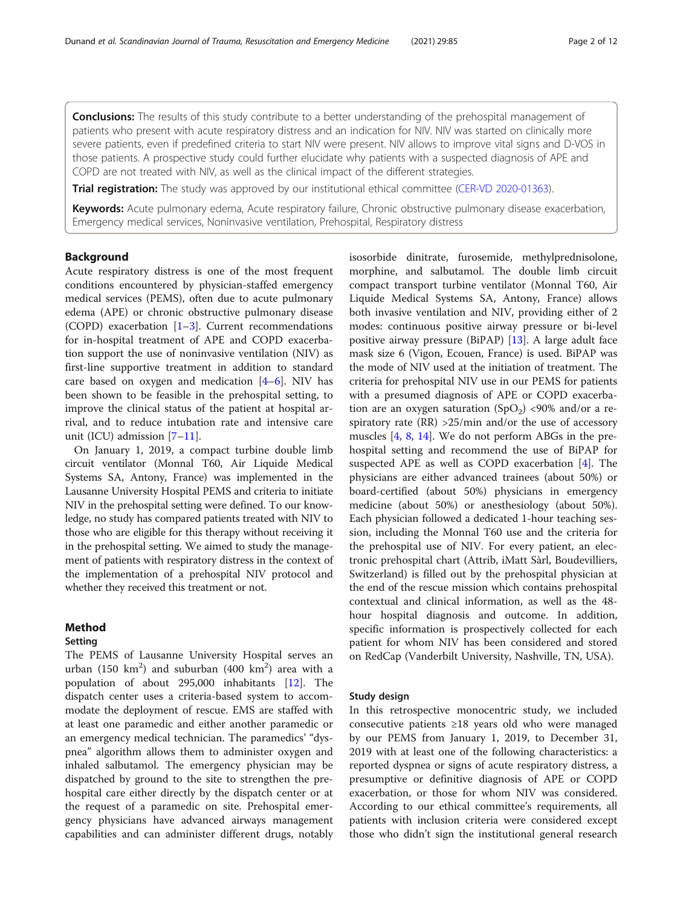**Conclusions:** The results of this study contribute to a better understanding of the prehospital management of patients who present with acute respiratory distress and an indication for NIV. NIV was started on clinically more severe patients, even if predefined criteria to start NIV were present. NIV allows to improve vital signs and D-VOS in those patients. A prospective study could further elucidate why patients with a suspected diagnosis of APE and COPD are not treated with NIV, as well as the clinical impact of the different strategies.

Trial registration: The study was approved by our institutional ethical committee ([CER-VD 2020-01363\)](https://ongoingprojects.swissethics.ch/runningProjects_list.php?orderby=dBASECID).

Keywords: Acute pulmonary edema, Acute respiratory failure, Chronic obstructive pulmonary disease exacerbation, Emergency medical services, Noninvasive ventilation, Prehospital, Respiratory distress

# Background

Acute respiratory distress is one of the most frequent conditions encountered by physician-staffed emergency medical services (PEMS), often due to acute pulmonary edema (APE) or chronic obstructive pulmonary disease (COPD) exacerbation [\[1](#page-10-0)–[3](#page-10-0)]. Current recommendations for in-hospital treatment of APE and COPD exacerbation support the use of noninvasive ventilation (NIV) as first-line supportive treatment in addition to standard care based on oxygen and medication [[4](#page-10-0)–[6](#page-10-0)]. NIV has been shown to be feasible in the prehospital setting, to improve the clinical status of the patient at hospital arrival, and to reduce intubation rate and intensive care unit (ICU) admission [[7](#page-10-0)–[11](#page-11-0)].

On January 1, 2019, a compact turbine double limb circuit ventilator (Monnal T60, Air Liquide Medical Systems SA, Antony, France) was implemented in the Lausanne University Hospital PEMS and criteria to initiate NIV in the prehospital setting were defined. To our knowledge, no study has compared patients treated with NIV to those who are eligible for this therapy without receiving it in the prehospital setting. We aimed to study the management of patients with respiratory distress in the context of the implementation of a prehospital NIV protocol and whether they received this treatment or not.

## Method

## Setting

The PEMS of Lausanne University Hospital serves an urban (150 km<sup>2</sup>) and suburban (400 km<sup>2</sup>) area with a population of about 295,000 inhabitants [\[12](#page-11-0)]. The dispatch center uses a criteria-based system to accommodate the deployment of rescue. EMS are staffed with at least one paramedic and either another paramedic or an emergency medical technician. The paramedics' "dyspnea" algorithm allows them to administer oxygen and inhaled salbutamol. The emergency physician may be dispatched by ground to the site to strengthen the prehospital care either directly by the dispatch center or at the request of a paramedic on site. Prehospital emergency physicians have advanced airways management capabilities and can administer different drugs, notably

isosorbide dinitrate, furosemide, methylprednisolone, morphine, and salbutamol. The double limb circuit compact transport turbine ventilator (Monnal T60, Air Liquide Medical Systems SA, Antony, France) allows both invasive ventilation and NIV, providing either of 2 modes: continuous positive airway pressure or bi-level positive airway pressure (BiPAP) [\[13](#page-11-0)]. A large adult face mask size 6 (Vigon, Ecouen, France) is used. BiPAP was the mode of NIV used at the initiation of treatment. The criteria for prehospital NIV use in our PEMS for patients with a presumed diagnosis of APE or COPD exacerbation are an oxygen saturation  $(SpO<sub>2</sub>)$  <90% and/or a respiratory rate  $(RR) > 25/min$  and/or the use of accessory muscles [[4](#page-10-0), [8,](#page-10-0) [14](#page-11-0)]. We do not perform ABGs in the prehospital setting and recommend the use of BiPAP for suspected APE as well as COPD exacerbation [[4\]](#page-10-0). The physicians are either advanced trainees (about 50%) or board-certified (about 50%) physicians in emergency medicine (about 50%) or anesthesiology (about 50%). Each physician followed a dedicated 1-hour teaching session, including the Monnal T60 use and the criteria for the prehospital use of NIV. For every patient, an electronic prehospital chart (Attrib, iMatt Sàrl, Boudevilliers, Switzerland) is filled out by the prehospital physician at the end of the rescue mission which contains prehospital contextual and clinical information, as well as the 48 hour hospital diagnosis and outcome. In addition, specific information is prospectively collected for each patient for whom NIV has been considered and stored on RedCap (Vanderbilt University, Nashville, TN, USA).

# Study design

In this retrospective monocentric study, we included consecutive patients ≥18 years old who were managed by our PEMS from January 1, 2019, to December 31, 2019 with at least one of the following characteristics: a reported dyspnea or signs of acute respiratory distress, a presumptive or definitive diagnosis of APE or COPD exacerbation, or those for whom NIV was considered. According to our ethical committee's requirements, all patients with inclusion criteria were considered except those who didn't sign the institutional general research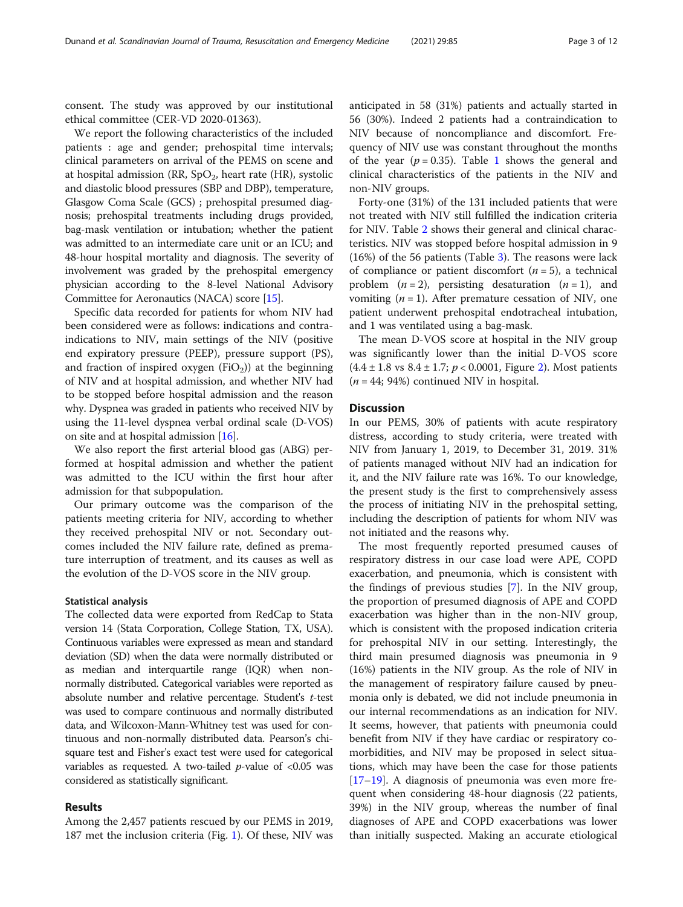consent. The study was approved by our institutional ethical committee (CER-VD 2020-01363).

We report the following characteristics of the included patients : age and gender; prehospital time intervals; clinical parameters on arrival of the PEMS on scene and at hospital admission (RR,  $SpO<sub>2</sub>$ , heart rate (HR), systolic and diastolic blood pressures (SBP and DBP), temperature, Glasgow Coma Scale (GCS) ; prehospital presumed diagnosis; prehospital treatments including drugs provided, bag-mask ventilation or intubation; whether the patient was admitted to an intermediate care unit or an ICU; and 48-hour hospital mortality and diagnosis. The severity of involvement was graded by the prehospital emergency physician according to the 8-level National Advisory Committee for Aeronautics (NACA) score [\[15\]](#page-11-0).

Specific data recorded for patients for whom NIV had been considered were as follows: indications and contraindications to NIV, main settings of the NIV (positive end expiratory pressure (PEEP), pressure support (PS), and fraction of inspired oxygen  $(FiO<sub>2</sub>)$  at the beginning of NIV and at hospital admission, and whether NIV had to be stopped before hospital admission and the reason why. Dyspnea was graded in patients who received NIV by using the 11-level dyspnea verbal ordinal scale (D-VOS) on site and at hospital admission [\[16\]](#page-11-0).

We also report the first arterial blood gas (ABG) performed at hospital admission and whether the patient was admitted to the ICU within the first hour after admission for that subpopulation.

Our primary outcome was the comparison of the patients meeting criteria for NIV, according to whether they received prehospital NIV or not. Secondary outcomes included the NIV failure rate, defined as premature interruption of treatment, and its causes as well as the evolution of the D-VOS score in the NIV group.

#### Statistical analysis

The collected data were exported from RedCap to Stata version 14 (Stata Corporation, College Station, TX, USA). Continuous variables were expressed as mean and standard deviation (SD) when the data were normally distributed or as median and interquartile range (IQR) when nonnormally distributed. Categorical variables were reported as absolute number and relative percentage. Student's t-test was used to compare continuous and normally distributed data, and Wilcoxon-Mann-Whitney test was used for continuous and non-normally distributed data. Pearson's chisquare test and Fisher's exact test were used for categorical variables as requested. A two-tailed  $p$ -value of <0.05 was considered as statistically significant.

# Results

Among the 2,457 patients rescued by our PEMS in 2019, 187 met the inclusion criteria (Fig. [1\)](#page-3-0). Of these, NIV was anticipated in 58 (31%) patients and actually started in 56 (30%). Indeed 2 patients had a contraindication to NIV because of noncompliance and discomfort. Frequency of NIV use was constant throughout the months of the year ( $p = 0.35$ ). Table [1](#page-4-0) shows the general and clinical characteristics of the patients in the NIV and non-NIV groups.

Forty-one (31%) of the 131 included patients that were not treated with NIV still fulfilled the indication criteria for NIV. Table [2](#page-6-0) shows their general and clinical characteristics. NIV was stopped before hospital admission in 9  $(16%)$  of the 56 patients (Table [3](#page-8-0)). The reasons were lack of compliance or patient discomfort  $(n = 5)$ , a technical problem  $(n = 2)$ , persisting desaturation  $(n = 1)$ , and vomiting  $(n = 1)$ . After premature cessation of NIV, one patient underwent prehospital endotracheal intubation, and 1 was ventilated using a bag-mask.

The mean D-VOS score at hospital in the NIV group was significantly lower than the initial D-VOS score  $(4.4 \pm 1.8 \text{ vs } 8.4 \pm 1.7; p < 0.0001, \text{ Figure 2}).$  $(4.4 \pm 1.8 \text{ vs } 8.4 \pm 1.7; p < 0.0001, \text{ Figure 2}).$  $(4.4 \pm 1.8 \text{ vs } 8.4 \pm 1.7; p < 0.0001, \text{ Figure 2}).$  Most patients  $(n = 44; 94%)$  continued NIV in hospital.

#### **Discussion**

In our PEMS, 30% of patients with acute respiratory distress, according to study criteria, were treated with NIV from January 1, 2019, to December 31, 2019. 31% of patients managed without NIV had an indication for it, and the NIV failure rate was 16%. To our knowledge, the present study is the first to comprehensively assess the process of initiating NIV in the prehospital setting, including the description of patients for whom NIV was not initiated and the reasons why.

The most frequently reported presumed causes of respiratory distress in our case load were APE, COPD exacerbation, and pneumonia, which is consistent with the findings of previous studies [[7\]](#page-10-0). In the NIV group, the proportion of presumed diagnosis of APE and COPD exacerbation was higher than in the non-NIV group, which is consistent with the proposed indication criteria for prehospital NIV in our setting. Interestingly, the third main presumed diagnosis was pneumonia in 9 (16%) patients in the NIV group. As the role of NIV in the management of respiratory failure caused by pneumonia only is debated, we did not include pneumonia in our internal recommendations as an indication for NIV. It seems, however, that patients with pneumonia could benefit from NIV if they have cardiac or respiratory comorbidities, and NIV may be proposed in select situations, which may have been the case for those patients [[17](#page-11-0)–[19](#page-11-0)]. A diagnosis of pneumonia was even more frequent when considering 48-hour diagnosis (22 patients, 39%) in the NIV group, whereas the number of final diagnoses of APE and COPD exacerbations was lower than initially suspected. Making an accurate etiological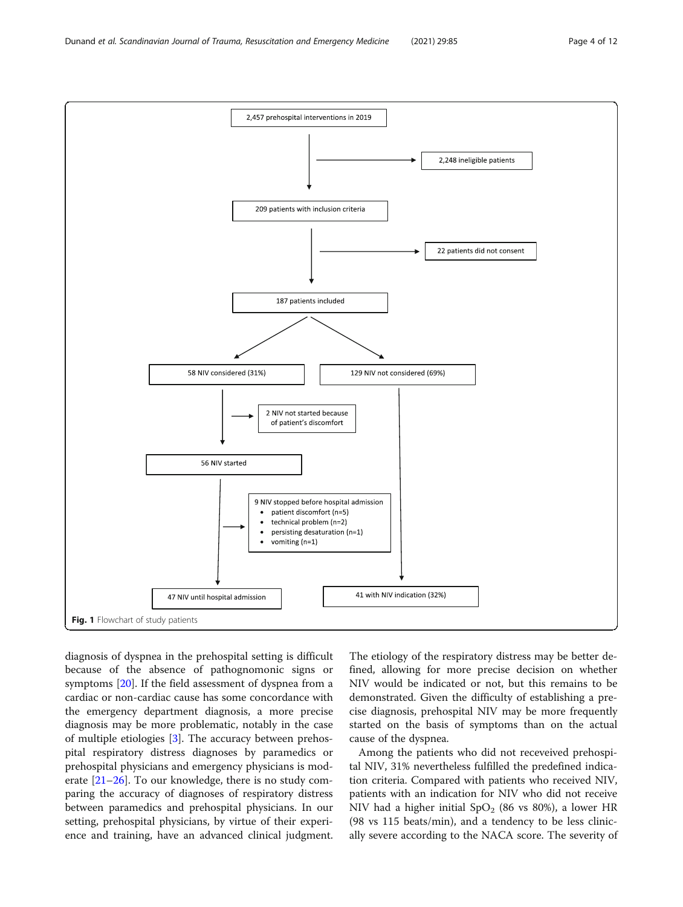<span id="page-3-0"></span>

diagnosis of dyspnea in the prehospital setting is difficult because of the absence of pathognomonic signs or symptoms [[20\]](#page-11-0). If the field assessment of dyspnea from a cardiac or non-cardiac cause has some concordance with the emergency department diagnosis, a more precise diagnosis may be more problematic, notably in the case of multiple etiologies [\[3](#page-10-0)]. The accuracy between prehospital respiratory distress diagnoses by paramedics or prehospital physicians and emergency physicians is moderate [[21](#page-11-0)–[26\]](#page-11-0). To our knowledge, there is no study comparing the accuracy of diagnoses of respiratory distress between paramedics and prehospital physicians. In our setting, prehospital physicians, by virtue of their experience and training, have an advanced clinical judgment.

The etiology of the respiratory distress may be better defined, allowing for more precise decision on whether NIV would be indicated or not, but this remains to be demonstrated. Given the difficulty of establishing a precise diagnosis, prehospital NIV may be more frequently started on the basis of symptoms than on the actual cause of the dyspnea.

Among the patients who did not receveived prehospital NIV, 31% nevertheless fulfilled the predefined indication criteria. Compared with patients who received NIV, patients with an indication for NIV who did not receive NIV had a higher initial  $SpO<sub>2</sub>$  (86 vs 80%), a lower HR (98 vs 115 beats/min), and a tendency to be less clinically severe according to the NACA score. The severity of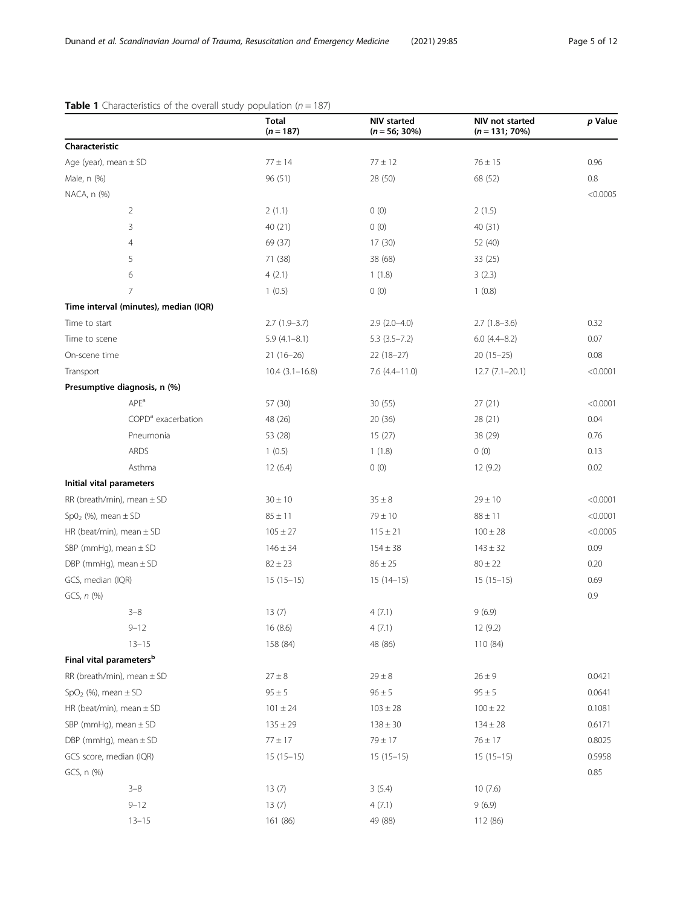|                                       | Total<br>$(n = 187)$ | NIV started<br>$(n = 56; 30\%)$ | NIV not started<br>$(n = 131; 70\%)$ | p Value  |
|---------------------------------------|----------------------|---------------------------------|--------------------------------------|----------|
| Characteristic                        |                      |                                 |                                      |          |
| Age (year), mean $\pm$ SD             | $77 \pm 14$          | $77 \pm 12$                     | $76 \pm 15$                          | 0.96     |
| Male, n (%)                           | 96 (51)              | 28 (50)                         | 68 (52)                              | 0.8      |
| NACA, n (%)                           |                      |                                 |                                      | < 0.0005 |
| $\overline{2}$                        | 2(1.1)               | 0(0)                            | 2(1.5)                               |          |
| 3                                     | 40 (21)              | 0(0)                            | 40 (31)                              |          |
| 4                                     | 69 (37)              | 17(30)                          | 52 (40)                              |          |
| 5                                     | 71 (38)              | 38 (68)                         | 33 (25)                              |          |
| 6                                     | 4(2.1)               | 1(1.8)                          | 3(2.3)                               |          |
| 7                                     | 1(0.5)               | 0(0)                            | 1(0.8)                               |          |
| Time interval (minutes), median (IQR) |                      |                                 |                                      |          |
| Time to start                         | $2.7(1.9-3.7)$       | $2.9(2.0-4.0)$                  | $2.7(1.8-3.6)$                       | 0.32     |
| Time to scene                         | $5.9(4.1 - 8.1)$     | $5.3(3.5 - 7.2)$                | $6.0(4.4 - 8.2)$                     | 0.07     |
| On-scene time                         | $21(16-26)$          | $22(18-27)$                     | $20(15-25)$                          | 0.08     |
| Transport                             | $10.4(3.1 - 16.8)$   | $7.6$ $(4.4 - 11.0)$            | $12.7(7.1-20.1)$                     | < 0.0001 |
| Presumptive diagnosis, n (%)          |                      |                                 |                                      |          |
| APE <sup>a</sup>                      | 57 (30)              | 30(55)                          | 27(21)                               | < 0.0001 |
| COPD <sup>a</sup> exacerbation        | 48 (26)              | 20 (36)                         | 28 (21)                              | 0.04     |
| Pneumonia                             | 53 (28)              | 15(27)                          | 38 (29)                              | 0.76     |
| ARDS                                  | 1(0.5)               | 1(1.8)                          | 0(0)                                 | 0.13     |
| Asthma                                | 12(6.4)              | 0(0)                            | 12 (9.2)                             | 0.02     |
| Initial vital parameters              |                      |                                 |                                      |          |
| RR (breath/min), mean $\pm$ SD        | $30 \pm 10$          | $35 \pm 8$                      | $29 \pm 10$                          | < 0.0001 |
| $Sp02$ (%), mean $\pm$ SD             | $85 \pm 11$          | $79 \pm 10$                     | $88 \pm 11$                          | < 0.0001 |
| HR (beat/min), mean $\pm$ SD          | $105 \pm 27$         | $115 \pm 21$                    | $100 \pm 28$                         | < 0.0005 |
| SBP (mmHg), mean $\pm$ SD             | $146 \pm 34$         | $154 \pm 38$                    | $143 \pm 32$                         | 0.09     |
| DBP (mmHg), mean $\pm$ SD             | $82 \pm 23$          | $86 \pm 25$                     | $80 \pm 22$                          | 0.20     |
| GCS, median (IQR)                     | $15(15-15)$          | $15(14-15)$                     | $15(15-15)$                          | 0.69     |
| GCS, $n$ $(\%)$                       |                      |                                 |                                      | 0.9      |
| $3 - 8$                               | 13(7)                | 4(7.1)                          | 9(6.9)                               |          |
| $9 - 12$                              | 16(8.6)              | 4(7.1)                          | 12 (9.2)                             |          |
| $13 - 15$                             | 158 (84)             | 48 (86)                         | 110 (84)                             |          |
| Final vital parameters <sup>b</sup>   |                      |                                 |                                      |          |
| RR (breath/min), mean $\pm$ SD        | $27 \pm 8$           | $29 \pm 8$                      | $26 \pm 9$                           | 0.0421   |
| $SpO2$ (%), mean $\pm$ SD             | $95 \pm 5$           | $96 \pm 5$                      | $95 \pm 5$                           | 0.0641   |
| HR (beat/min), mean $\pm$ SD          | $101 \pm 24$         | $103 \pm 28$                    | $100 \pm 22$                         | 0.1081   |
| SBP (mmHg), mean $\pm$ SD             | $135 \pm 29$         | $138 \pm 30$                    | $134 \pm 28$                         | 0.6171   |
| DBP (mmHg), mean $\pm$ SD             | $77 \pm 17$          | $79 \pm 17$                     | $76 \pm 17$                          | 0.8025   |
| GCS score, median (IQR)               | $15(15-15)$          | $15(15-15)$                     | $15(15-15)$                          | 0.5958   |
| GCS, n (%)                            |                      |                                 |                                      | 0.85     |
| $3 - 8$                               | 13(7)                | 3(5.4)                          | 10(7.6)                              |          |
| $9 - 12$                              | 13(7)                | 4(7.1)                          | 9(6.9)                               |          |
| $13 - 15$                             | 161 (86)             | 49 (88)                         | 112 (86)                             |          |

# <span id="page-4-0"></span>**Table 1** Characteristics of the overall study population ( $n = 187$ )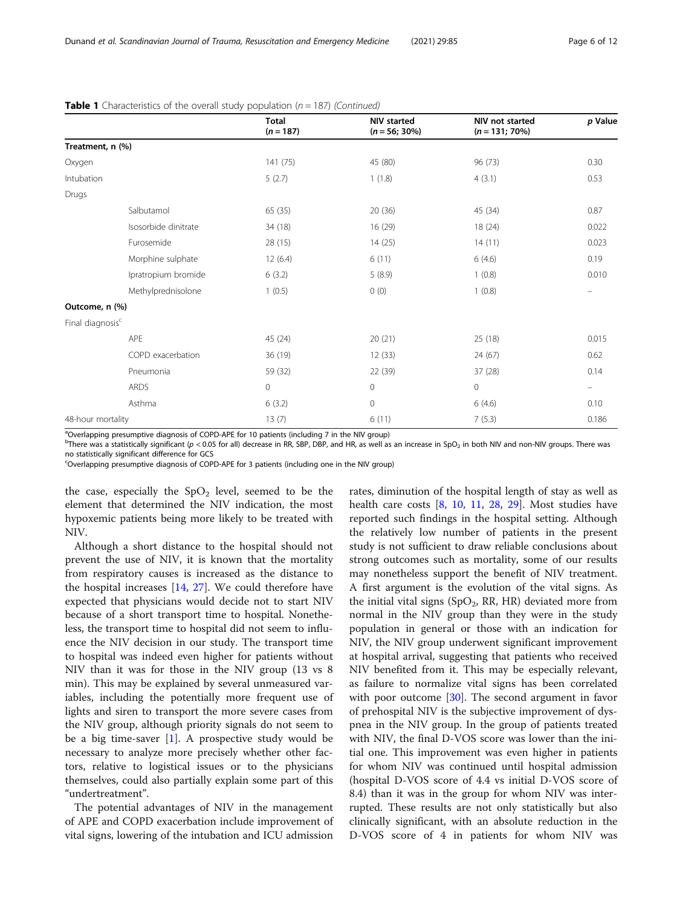|                              |                      | <b>Total</b><br>$(n = 187)$ | <b>NIV</b> started<br>$(n = 56; 30\%)$ | NIV not started<br>$(n = 131; 70\%)$ | p Value           |
|------------------------------|----------------------|-----------------------------|----------------------------------------|--------------------------------------|-------------------|
| Treatment, n (%)             |                      |                             |                                        |                                      |                   |
| Oxygen                       |                      | 141(75)                     | 45 (80)                                | 96 (73)                              | 0.30              |
| Intubation                   |                      | 5(2.7)                      | 1(1.8)                                 | 4(3.1)                               | 0.53              |
| Drugs                        |                      |                             |                                        |                                      |                   |
|                              | Salbutamol           | 65 (35)                     | 20(36)                                 | 45 (34)                              | 0.87              |
|                              | Isosorbide dinitrate | 34 (18)                     | 16 (29)                                | 18(24)                               | 0.022             |
|                              | Furosemide           | 28 (15)                     | 14(25)                                 | 14(11)                               | 0.023             |
|                              | Morphine sulphate    | 12(6.4)                     | 6(11)                                  | 6(4.6)                               | 0.19              |
|                              | Ipratropium bromide  | 6(3.2)                      | 5(8.9)                                 | 1(0.8)                               | 0.010             |
|                              | Methylprednisolone   | 1(0.5)                      | 0(0)                                   | 1(0.8)                               | $\qquad \qquad =$ |
| Outcome, n (%)               |                      |                             |                                        |                                      |                   |
| Final diagnosis <sup>c</sup> |                      |                             |                                        |                                      |                   |
| APE                          |                      | 45 (24)                     | 20(21)                                 | 25 (18)                              | 0.015             |
|                              | COPD exacerbation    | 36 (19)                     | 12(33)                                 | 24 (67)                              | 0.62              |
|                              | Pneumonia            | 59 (32)                     | 22 (39)                                | 37 (28)                              | 0.14              |
|                              | <b>ARDS</b>          | $\mathbf 0$                 | $\mathbf{0}$                           | $\mathbf 0$                          | $\qquad \qquad -$ |
|                              | Asthma               | 6(3.2)                      | $\mathbf{0}$                           | 6(4.6)                               | 0.10              |
| 48-hour mortality            |                      | 13(7)                       | 6(11)                                  | 7(5.3)                               | 0.186             |

**Table 1** Characteristics of the overall study population ( $n = 187$ ) (Continued)

<sup>a</sup>Overlapping presumptive diagnosis of COPD-APE for 10 patients (including 7 in the NIV group)

 $^{\rm b}$ There was a statistically significant (p < 0.05 for all) decrease in RR, SBP, DBP, and HR, as well as an increase in SpO<sub>2</sub> in both NIV and non-NIV groups. There was no statistically significant difference for GCS

<sup>c</sup>Overlapping presumptive diagnosis of COPD-APE for 3 patients (including one in the NIV group)

the case, especially the  $SpO<sub>2</sub>$  level, seemed to be the element that determined the NIV indication, the most hypoxemic patients being more likely to be treated with NIV.

Although a short distance to the hospital should not prevent the use of NIV, it is known that the mortality from respiratory causes is increased as the distance to the hospital increases [[14](#page-11-0), [27](#page-11-0)]. We could therefore have expected that physicians would decide not to start NIV because of a short transport time to hospital. Nonetheless, the transport time to hospital did not seem to influence the NIV decision in our study. The transport time to hospital was indeed even higher for patients without NIV than it was for those in the NIV group (13 vs 8 min). This may be explained by several unmeasured variables, including the potentially more frequent use of lights and siren to transport the more severe cases from the NIV group, although priority signals do not seem to be a big time-saver  $[1]$  $[1]$ . A prospective study would be necessary to analyze more precisely whether other factors, relative to logistical issues or to the physicians themselves, could also partially explain some part of this "undertreatment".

The potential advantages of NIV in the management of APE and COPD exacerbation include improvement of vital signs, lowering of the intubation and ICU admission

rates, diminution of the hospital length of stay as well as health care costs  $[8, 10, 11, 28, 29]$  $[8, 10, 11, 28, 29]$  $[8, 10, 11, 28, 29]$  $[8, 10, 11, 28, 29]$  $[8, 10, 11, 28, 29]$  $[8, 10, 11, 28, 29]$  $[8, 10, 11, 28, 29]$  $[8, 10, 11, 28, 29]$  $[8, 10, 11, 28, 29]$  $[8, 10, 11, 28, 29]$ . Most studies have reported such findings in the hospital setting. Although the relatively low number of patients in the present study is not sufficient to draw reliable conclusions about strong outcomes such as mortality, some of our results may nonetheless support the benefit of NIV treatment. A first argument is the evolution of the vital signs. As the initial vital signs (SpO<sub>2</sub>, RR, HR) deviated more from normal in the NIV group than they were in the study population in general or those with an indication for NIV, the NIV group underwent significant improvement at hospital arrival, suggesting that patients who received NIV benefited from it. This may be especially relevant, as failure to normalize vital signs has been correlated with poor outcome  $[30]$ . The second argument in favor of prehospital NIV is the subjective improvement of dyspnea in the NIV group. In the group of patients treated with NIV, the final D-VOS score was lower than the initial one. This improvement was even higher in patients for whom NIV was continued until hospital admission (hospital D-VOS score of 4.4 vs initial D-VOS score of 8.4) than it was in the group for whom NIV was interrupted. These results are not only statistically but also clinically significant, with an absolute reduction in the D-VOS score of 4 in patients for whom NIV was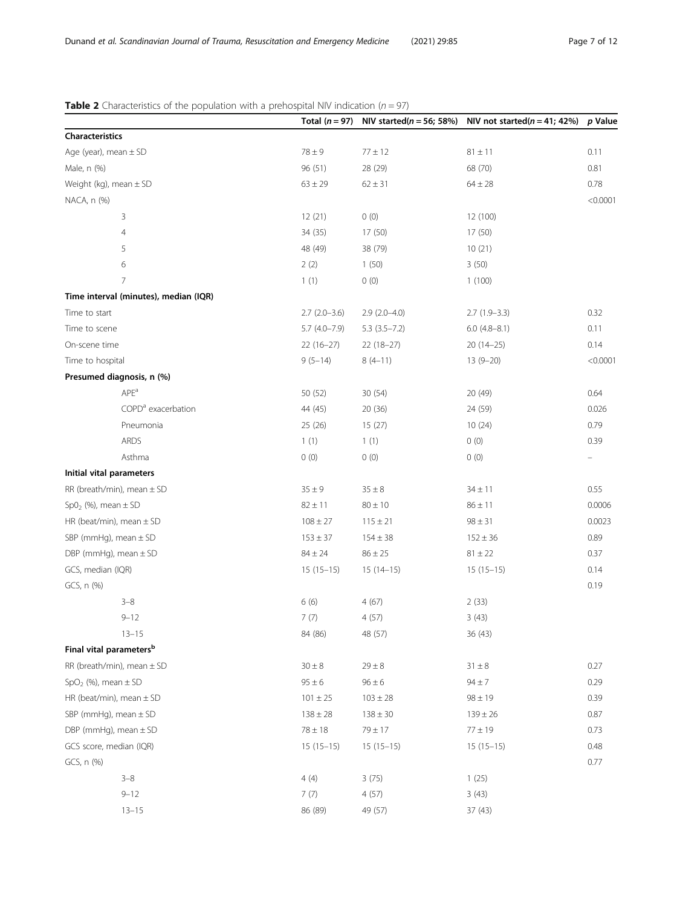# <span id="page-6-0"></span>**Table 2** Characteristics of the population with a prehospital NIV indication ( $n = 97$ )

|                                       |                |                  | Total ( $n = 97$ ) NIV started( $n = 56$ ; 58%) NIV not started( $n = 41$ ; 42%) | p Value       |
|---------------------------------------|----------------|------------------|----------------------------------------------------------------------------------|---------------|
| Characteristics                       |                |                  |                                                                                  |               |
| Age (year), mean ± SD                 | $78\pm9$       | $77\pm12$        | $81\pm11$                                                                        | 0.11          |
| Male, n (%)                           | 96 (51)        | 28 (29)          | 68 (70)                                                                          | 0.81          |
| Weight (kg), mean $\pm$ SD            | $63 \pm 29$    | $62 \pm 31$      | $64 \pm 28$                                                                      | 0.78          |
| NACA, n (%)                           |                |                  |                                                                                  | < 0.0001      |
| 3                                     | 12(21)         | 0(0)             | 12 (100)                                                                         |               |
| $\overline{4}$                        | 34 (35)        | 17 (50)          | 17 (50)                                                                          |               |
| 5                                     | 48 (49)        | 38 (79)          | 10(21)                                                                           |               |
| 6                                     | 2(2)           | 1(50)            | 3(50)                                                                            |               |
| $\overline{7}$                        | 1(1)           | 0(0)             | 1(100)                                                                           |               |
| Time interval (minutes), median (IQR) |                |                  |                                                                                  |               |
| Time to start                         | $2.7(2.0-3.6)$ | $2.9(2.0-4.0)$   | $2.7(1.9-3.3)$                                                                   | 0.32          |
| Time to scene                         | $5.7(4.0-7.9)$ | $5.3(3.5 - 7.2)$ | $6.0$ (4.8-8.1)                                                                  | 0.11          |
| On-scene time                         | $22(16-27)$    | $22(18-27)$      | $20(14-25)$                                                                      | 0.14          |
| Time to hospital                      | $9(5-14)$      | $8(4-11)$        | $13(9-20)$                                                                       | < 0.0001      |
| Presumed diagnosis, n (%)             |                |                  |                                                                                  |               |
| APE <sup>a</sup>                      | 50 (52)        | 30(54)           | 20 (49)                                                                          | 0.64          |
| COPD <sup>a</sup> exacerbation        | 44 (45)        | 20(36)           | 24 (59)                                                                          | 0.026         |
| Pneumonia                             | 25(26)         | 15(27)           | 10(24)                                                                           | 0.79          |
| ARDS                                  | 1(1)           | 1(1)             | 0(0)                                                                             | 0.39          |
| Asthma                                | 0(0)           | 0(0)             | 0(0)                                                                             | $\frac{1}{2}$ |
| Initial vital parameters              |                |                  |                                                                                  |               |
| RR (breath/min), mean $\pm$ SD        | $35\pm9$       | $35\pm8$         | $34 \pm 11$                                                                      | 0.55          |
| Sp0 <sub>2</sub> (%), mean $\pm$ SD   | $82 \pm 11$    | $80 \pm 10$      | $86 \pm 11$                                                                      | 0.0006        |
| HR (beat/min), mean $\pm$ SD          | $108 \pm 27$   | $115 \pm 21$     | $98 \pm 31$                                                                      | 0.0023        |
| SBP (mmHg), mean $\pm$ SD             | $153 \pm 37$   | $154 \pm 38$     | $152 \pm 36$                                                                     | 0.89          |
| DBP (mmHg), mean $\pm$ SD             | $84 \pm 24$    | $86 \pm 25$      | $81 \pm 22$                                                                      | 0.37          |
| GCS, median (IQR)                     | $15(15-15)$    | $15(14-15)$      | $15(15-15)$                                                                      | 0.14          |
| GCS, n (%)                            |                |                  |                                                                                  | 0.19          |
| $3 - 8$                               | 6(6)           | 4(67)            | 2(33)                                                                            |               |
| $9 - 12$                              | 7(7)           | 4(57)            | 3(43)                                                                            |               |
| $13 - 15$                             | 84 (86)        | 48 (57)          | 36 (43)                                                                          |               |
| Final vital parameters <sup>b</sup>   |                |                  |                                                                                  |               |
| RR (breath/min), mean $\pm$ SD        | $30\pm8$       | $29\pm8$         | $31 \pm 8$                                                                       | 0.27          |
| SpO <sub>2</sub> (%), mean $\pm$ SD   | $95 \pm 6$     | $96 \pm 6$       | $94 \pm 7$                                                                       | 0.29          |
| HR (beat/min), mean $\pm$ SD          | $101 \pm 25$   | $103 \pm 28$     | $98 \pm 19$                                                                      | 0.39          |
| SBP (mmHg), mean $\pm$ SD             | $138 \pm 28$   | $138 \pm 30$     | $139 \pm 26$                                                                     | 0.87          |
| DBP (mmHg), mean $\pm$ SD             | $78\pm18$      | $79\pm17$        | $77\pm19$                                                                        | 0.73          |
| GCS score, median (IQR)               | $15(15-15)$    | $15(15-15)$      | $15(15-15)$                                                                      | 0.48          |
| GCS, n (%)                            |                |                  |                                                                                  | 0.77          |
| $3 - 8$                               | 4(4)           | 3(75)            | 1(25)                                                                            |               |
| $9 - 12$                              | 7(7)           | 4(57)            | 3(43)                                                                            |               |
| $13 - 15$                             | 86 (89)        | 49 (57)          | 37 (43)                                                                          |               |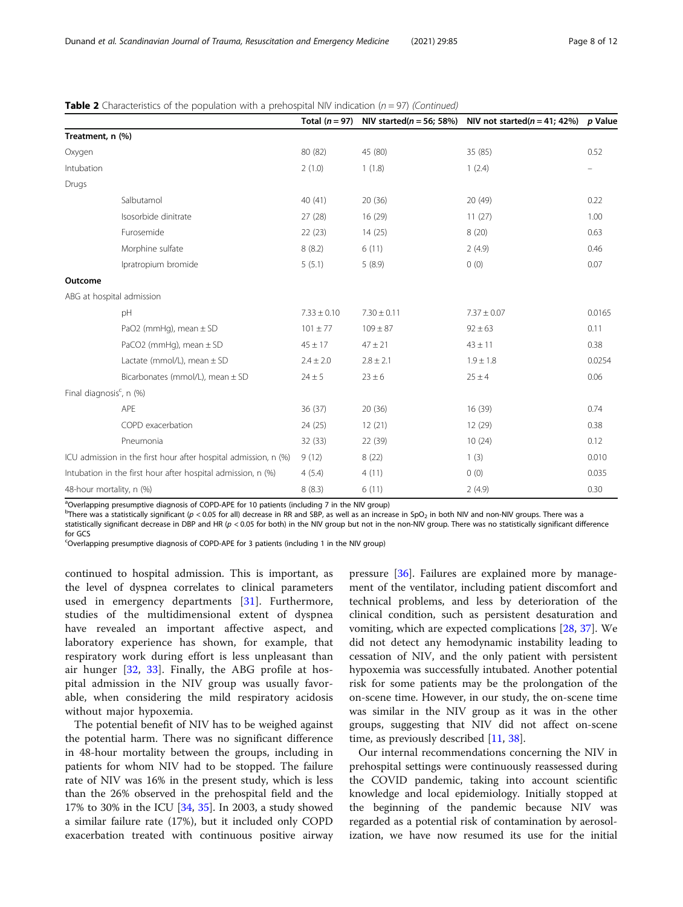|                                         |                                                                 |                 |                 | Total ( $n = 97$ ) NIV started( $n = 56$ ; 58%) NIV not started( $n = 41$ ; 42%) p Value |        |
|-----------------------------------------|-----------------------------------------------------------------|-----------------|-----------------|------------------------------------------------------------------------------------------|--------|
| Treatment, n (%)                        |                                                                 |                 |                 |                                                                                          |        |
| Oxygen                                  |                                                                 | 80 (82)         | 45 (80)         | 35 (85)                                                                                  | 0.52   |
| Intubation                              |                                                                 | 2(1.0)          | 1(1.8)          | 1(2.4)                                                                                   |        |
| Drugs                                   |                                                                 |                 |                 |                                                                                          |        |
|                                         | Salbutamol                                                      | 40 (41)         | 20(36)          | 20(49)                                                                                   | 0.22   |
|                                         | Isosorbide dinitrate                                            | 27(28)          | 16 (29)         | 11(27)                                                                                   | 1.00   |
|                                         | Furosemide                                                      | 22(23)          | 14(25)          | 8(20)                                                                                    | 0.63   |
|                                         | Morphine sulfate                                                | 8(8.2)          | 6(11)           | 2(4.9)                                                                                   | 0.46   |
|                                         | Ipratropium bromide                                             | 5(5.1)          | 5(8.9)          | 0(0)                                                                                     | 0.07   |
| Outcome                                 |                                                                 |                 |                 |                                                                                          |        |
| ABG at hospital admission               |                                                                 |                 |                 |                                                                                          |        |
|                                         | pH                                                              | $7.33 \pm 0.10$ | $7.30 \pm 0.11$ | $7.37 \pm 0.07$                                                                          | 0.0165 |
|                                         | PaO2 (mmHg), mean $\pm$ SD                                      | $101 \pm 77$    | $109 \pm 87$    | $92 \pm 63$                                                                              | 0.11   |
|                                         | PaCO2 (mmHg), mean $\pm$ SD                                     | $45 \pm 17$     | $47 \pm 21$     | $43 \pm 11$                                                                              | 0.38   |
|                                         | Lactate (mmol/L), mean $\pm$ SD                                 | $2.4 \pm 2.0$   | $2.8 \pm 2.1$   | $1.9 \pm 1.8$                                                                            | 0.0254 |
|                                         | Bicarbonates (mmol/L), mean ± SD                                | $24 \pm 5$      | $23 \pm 6$      | $25 \pm 4$                                                                               | 0.06   |
| Final diagnosis <sup>c</sup> , n $(\%)$ |                                                                 |                 |                 |                                                                                          |        |
|                                         | APE                                                             | 36(37)          | 20(36)          | 16 (39)                                                                                  | 0.74   |
|                                         | COPD exacerbation                                               | 24 (25)         | 12(21)          | 12 (29)                                                                                  | 0.38   |
|                                         | Pneumonia                                                       | 32(33)          | 22 (39)         | 10(24)                                                                                   | 0.12   |
|                                         | ICU admission in the first hour after hospital admission, n (%) | 9(12)           | 8(22)           | 1(3)                                                                                     | 0.010  |
|                                         | Intubation in the first hour after hospital admission, n (%)    | 4(5.4)          | 4(11)           | 0(0)                                                                                     | 0.035  |
| 48-hour mortality, n (%)                |                                                                 | 8(8.3)          | 6(11)           | 2(4.9)                                                                                   | 0.30   |

**Table 2** Characteristics of the population with a prehospital NIV indication ( $n = 97$ ) (Continued)

<sup>a</sup>Overlapping presumptive diagnosis of COPD-APE for 10 patients (including 7 in the NIV group)

 $^{\rm b}$ There was a statistically significant (p < 0.05 for all) decrease in RR and SBP, as well as an increase in SpO $_2$  in both NIV and non-NIV groups. There was a

statistically significant decrease in DBP and HR (p < 0.05 for both) in the NIV group but not in the non-NIV group. There was no statistically significant difference for GCS

<sup>c</sup>Overlapping presumptive diagnosis of COPD-APE for 3 patients (including 1 in the NIV group)

continued to hospital admission. This is important, as the level of dyspnea correlates to clinical parameters used in emergency departments [[31\]](#page-11-0). Furthermore, studies of the multidimensional extent of dyspnea have revealed an important affective aspect, and laboratory experience has shown, for example, that respiratory work during effort is less unpleasant than air hunger [[32,](#page-11-0) [33\]](#page-11-0). Finally, the ABG profile at hospital admission in the NIV group was usually favorable, when considering the mild respiratory acidosis without major hypoxemia.

The potential benefit of NIV has to be weighed against the potential harm. There was no significant difference in 48-hour mortality between the groups, including in patients for whom NIV had to be stopped. The failure rate of NIV was 16% in the present study, which is less than the 26% observed in the prehospital field and the 17% to 30% in the ICU [[34,](#page-11-0) [35\]](#page-11-0). In 2003, a study showed a similar failure rate (17%), but it included only COPD exacerbation treated with continuous positive airway pressure [[36\]](#page-11-0). Failures are explained more by management of the ventilator, including patient discomfort and technical problems, and less by deterioration of the clinical condition, such as persistent desaturation and vomiting, which are expected complications [\[28,](#page-11-0) [37\]](#page-11-0). We did not detect any hemodynamic instability leading to cessation of NIV, and the only patient with persistent hypoxemia was successfully intubated. Another potential risk for some patients may be the prolongation of the on-scene time. However, in our study, the on-scene time was similar in the NIV group as it was in the other groups, suggesting that NIV did not affect on-scene time, as previously described [[11](#page-11-0), [38](#page-11-0)].

Our internal recommendations concerning the NIV in prehospital settings were continuously reassessed during the COVID pandemic, taking into account scientific knowledge and local epidemiology. Initially stopped at the beginning of the pandemic because NIV was regarded as a potential risk of contamination by aerosolization, we have now resumed its use for the initial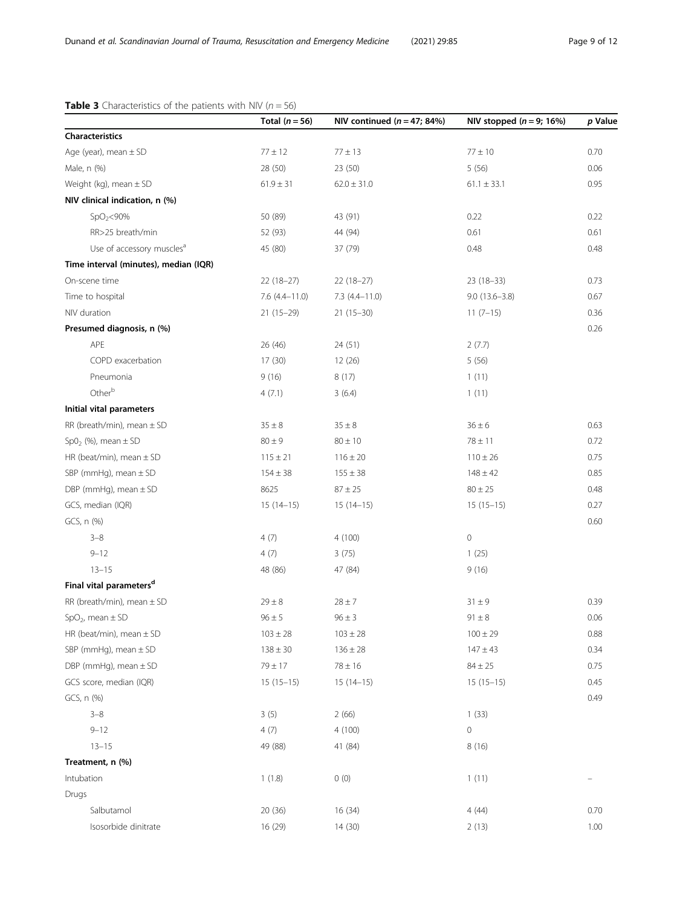# <span id="page-8-0"></span>**Table 3** Characteristics of the patients with NIV ( $n = 56$ )

|                                       | Total $(n = 56)$ | NIV continued $(n = 47; 84%)$ | NIV stopped $(n = 9; 16%)$ | p Value |
|---------------------------------------|------------------|-------------------------------|----------------------------|---------|
| Characteristics                       |                  |                               |                            |         |
| Age (year), mean ± SD                 | $77\pm12$        | $77\pm13$                     | $77\pm10$                  | 0.70    |
| Male, n (%)                           | 28 (50)          | 23 (50)                       | 5(56)                      | 0.06    |
| Weight (kg), mean $\pm$ SD            | $61.9 \pm 31$    | $62.0 \pm 31.0$               | $61.1 \pm 33.1$            | 0.95    |
| NIV clinical indication, n (%)        |                  |                               |                            |         |
| $SpO2<$ 90%                           | 50 (89)          | 43 (91)                       | 0.22                       | 0.22    |
| RR>25 breath/min                      | 52 (93)          | 44 (94)                       | 0.61                       | 0.61    |
| Use of accessory muscles <sup>a</sup> | 45 (80)          | 37 (79)                       | 0.48                       | 0.48    |
| Time interval (minutes), median (IQR) |                  |                               |                            |         |
| On-scene time                         | $22(18-27)$      | $22(18-27)$                   | $23(18-33)$                | 0.73    |
| Time to hospital                      | $7.6(4.4-11.0)$  | $7.3(4.4 - 11.0)$             | $9.0(13.6 - 3.8)$          | 0.67    |
| NIV duration                          | $21(15-29)$      | $21(15-30)$                   | $11(7-15)$                 | 0.36    |
| Presumed diagnosis, n (%)             |                  |                               |                            | 0.26    |
| APE                                   | 26 (46)          | 24 (51)                       | 2(7.7)                     |         |
| COPD exacerbation                     | 17(30)           | 12 (26)                       | 5(56)                      |         |
| Pneumonia                             | 9(16)            | 8(17)                         | 1(11)                      |         |
| Otherb                                | 4(7.1)           | 3(6.4)                        | 1(11)                      |         |
| Initial vital parameters              |                  |                               |                            |         |
| RR (breath/min), mean $\pm$ SD        | $35\pm8$         | $35\pm8$                      | $36\pm6$                   | 0.63    |
| $SpO2$ (%), mean $\pm$ SD             | $80 \pm 9$       | $80 \pm 10$                   | $78\pm11$                  | 0.72    |
| HR (beat/min), mean $\pm$ SD          | $115 \pm 21$     | $116 \pm 20$                  | $110 \pm 26$               | 0.75    |
| SBP (mmHg), mean $\pm$ SD             | $154 \pm 38$     | $155 \pm 38$                  | $148 \pm 42$               | 0.85    |
| DBP (mmHg), mean $\pm$ SD             | 8625             | $87\pm25$                     | $80 \pm 25$                | 0.48    |
| GCS, median (IQR)                     | $15(14-15)$      | $15(14-15)$                   | $15(15-15)$                | 0.27    |
| GCS, n (%)                            |                  |                               |                            | 0.60    |
| $3 - 8$                               | 4(7)             | 4(100)                        | 0                          |         |
| $9 - 12$                              | 4(7)             | 3(75)                         | 1(25)                      |         |
| $13 - 15$                             | 48 (86)          | 47 (84)                       | 9(16)                      |         |
| Final vital parameters <sup>d</sup>   |                  |                               |                            |         |
| RR (breath/min), mean $\pm$ SD        | $29 \pm 8$       | $28 \pm 7$                    | $31\pm9$                   | 0.39    |
| $SpO2$ , mean $\pm$ SD                | $96 \pm 5$       | $96 \pm 3$                    | $91 \pm 8$                 | 0.06    |
| HR (beat/min), mean $\pm$ SD          | $103 \pm 28$     | $103 \pm 28$                  | $100 \pm 29$               | 0.88    |
| SBP (mmHg), mean ± SD                 | $138\pm30$       | $136 \pm 28$                  | $147 \pm 43$               | 0.34    |
| DBP (mmHg), mean $\pm$ SD             | $79\pm17$        | $78 \pm 16$                   | $84 \pm 25$                | 0.75    |
| GCS score, median (IQR)               | $15(15-15)$      | $15(14-15)$                   | $15(15-15)$                | 0.45    |
| GCS, n (%)                            |                  |                               |                            | 0.49    |
| $3 - 8$                               | 3(5)             | 2(66)                         | 1(33)                      |         |
| $9 - 12$                              | 4(7)             | 4(100)                        | 0                          |         |
| $13 - 15$                             | 49 (88)          | 41 (84)                       | 8(16)                      |         |
| Treatment, n (%)                      |                  |                               |                            |         |
| Intubation                            | 1(1.8)           | 0(0)                          | 1(11)                      |         |
| Drugs                                 |                  |                               |                            |         |
| Salbutamol                            | 20(36)           | 16 (34)                       | 4(44)                      | 0.70    |
| Isosorbide dinitrate                  | 16 (29)          | 14 (30)                       | 2(13)                      | 1.00    |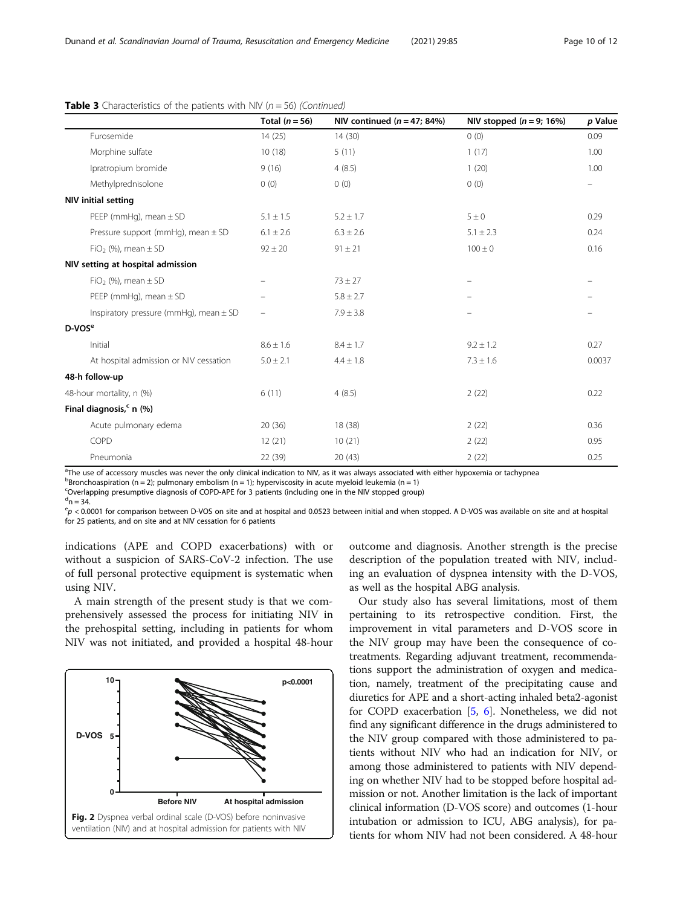|                                            | Total $(n = 56)$ | NIV continued $(n = 47; 84%)$ | NIV stopped $(n = 9; 16%)$ | p Value |
|--------------------------------------------|------------------|-------------------------------|----------------------------|---------|
| Furosemide                                 | 14(25)           | 14(30)                        | 0(0)                       | 0.09    |
| Morphine sulfate                           | 10(18)           | 5(11)                         | 1(17)                      | 1.00    |
| Ipratropium bromide                        | 9(16)            | 4(8.5)                        | 1(20)                      | 1.00    |
| Methylprednisolone                         | 0(0)             | 0(0)                          | 0(0)                       |         |
| <b>NIV initial setting</b>                 |                  |                               |                            |         |
| PEEP (mmHg), mean $\pm$ SD                 | $5.1 \pm 1.5$    | $5.2 \pm 1.7$                 | $5\pm0$                    | 0.29    |
| Pressure support (mmHg), mean ± SD         | $6.1 \pm 2.6$    | $6.3 \pm 2.6$                 | $5.1 \pm 2.3$              | 0.24    |
| $FiO2$ (%), mean $\pm$ SD                  | $92 \pm 20$      | $91 \pm 21$                   | $100 \pm 0$                | 0.16    |
| NIV setting at hospital admission          |                  |                               |                            |         |
| $FiO2$ (%), mean $\pm$ SD                  |                  | $73 \pm 27$                   |                            |         |
| PEEP (mmHg), mean $\pm$ SD                 |                  | $5.8 \pm 2.7$                 |                            |         |
| Inspiratory pressure (mmHq), mean $\pm$ SD | -                | $7.9 \pm 3.8$                 |                            |         |
| $D-VOSe$                                   |                  |                               |                            |         |
| Initial                                    | $8.6 \pm 1.6$    | $8.4 \pm 1.7$                 | $9.2 \pm 1.2$              | 0.27    |
| At hospital admission or NIV cessation     | $5.0 \pm 2.1$    | $4.4 \pm 1.8$                 | $7.3 \pm 1.6$              | 0.0037  |
| 48-h follow-up                             |                  |                               |                            |         |
| 48-hour mortality, n (%)                   | 6(11)            | 4(8.5)                        | 2(22)                      | 0.22    |
| Final diagnosis, <sup>c</sup> n (%)        |                  |                               |                            |         |
| Acute pulmonary edema                      | 20(36)           | 18 (38)                       | 2(22)                      | 0.36    |
| COPD                                       | 12(21)           | 10(21)                        | 2(22)                      | 0.95    |
| Pneumonia                                  | 22 (39)          | 20(43)                        | 2(22)                      | 0.25    |

# <span id="page-9-0"></span>**Table 3** Characteristics of the patients with NIV ( $n = 56$ ) (Continued)

<sup>a</sup>The use of accessory muscles was never the only clinical indication to NIV, as it was always associated with either hypoxemia or tachypnea

 $^{\text{b}}$ Bronchoaspiration (n = 2); pulmonary embolism (n = 1); hyperviscosity in acute myeloid leukemia (n = 1)

<sup>c</sup>Overlapping presumptive diagnosis of COPD-APE for 3 patients (including one in the NIV stopped group)

 $d$ n = 34.

 $e_p$  < 0.0001 for comparison between D-VOS on site and at hospital and 0.0523 between initial and when stopped. A D-VOS was available on site and at hospital for 25 patients, and on site and at NIV cessation for 6 patients

indications (APE and COPD exacerbations) with or without a suspicion of SARS-CoV-2 infection. The use of full personal protective equipment is systematic when using NIV.

A main strength of the present study is that we comprehensively assessed the process for initiating NIV in the prehospital setting, including in patients for whom NIV was not initiated, and provided a hospital 48-hour



outcome and diagnosis. Another strength is the precise description of the population treated with NIV, including an evaluation of dyspnea intensity with the D-VOS, as well as the hospital ABG analysis.

Our study also has several limitations, most of them pertaining to its retrospective condition. First, the improvement in vital parameters and D-VOS score in the NIV group may have been the consequence of cotreatments. Regarding adjuvant treatment, recommendations support the administration of oxygen and medication, namely, treatment of the precipitating cause and diuretics for APE and a short-acting inhaled beta2-agonist for COPD exacerbation [\[5](#page-10-0), [6\]](#page-10-0). Nonetheless, we did not find any significant difference in the drugs administered to the NIV group compared with those administered to patients without NIV who had an indication for NIV, or among those administered to patients with NIV depending on whether NIV had to be stopped before hospital admission or not. Another limitation is the lack of important clinical information (D-VOS score) and outcomes (1-hour intubation or admission to ICU, ABG analysis), for patients for whom NIV had not been considered. A 48-hour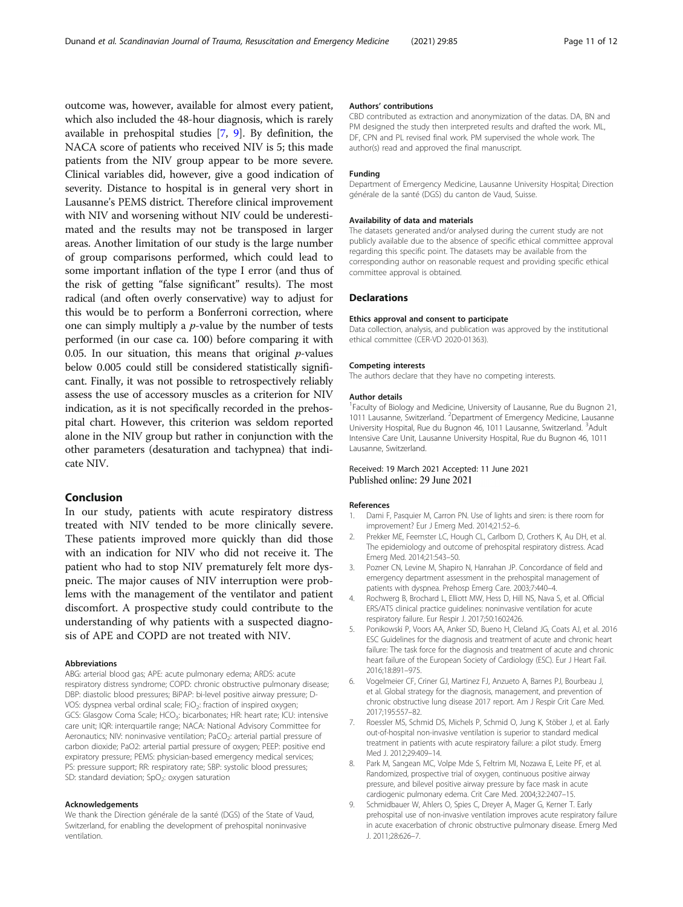<span id="page-10-0"></span>outcome was, however, available for almost every patient, which also included the 48-hour diagnosis, which is rarely available in prehospital studies [7, 9]. By definition, the NACA score of patients who received NIV is 5; this made patients from the NIV group appear to be more severe. Clinical variables did, however, give a good indication of severity. Distance to hospital is in general very short in Lausanne's PEMS district. Therefore clinical improvement with NIV and worsening without NIV could be underestimated and the results may not be transposed in larger areas. Another limitation of our study is the large number of group comparisons performed, which could lead to some important inflation of the type I error (and thus of the risk of getting "false significant" results). The most radical (and often overly conservative) way to adjust for this would be to perform a Bonferroni correction, where one can simply multiply a  $p$ -value by the number of tests performed (in our case ca. 100) before comparing it with 0.05. In our situation, this means that original  $p$ -values below 0.005 could still be considered statistically significant. Finally, it was not possible to retrospectively reliably assess the use of accessory muscles as a criterion for NIV indication, as it is not specifically recorded in the prehospital chart. However, this criterion was seldom reported alone in the NIV group but rather in conjunction with the other parameters (desaturation and tachypnea) that indicate NIV.

# Conclusion

In our study, patients with acute respiratory distress treated with NIV tended to be more clinically severe. These patients improved more quickly than did those with an indication for NIV who did not receive it. The patient who had to stop NIV prematurely felt more dyspneic. The major causes of NIV interruption were problems with the management of the ventilator and patient discomfort. A prospective study could contribute to the understanding of why patients with a suspected diagnosis of APE and COPD are not treated with NIV.

#### **Abbreviations**

ABG: arterial blood gas; APE: acute pulmonary edema; ARDS: acute respiratory distress syndrome; COPD: chronic obstructive pulmonary disease; DBP: diastolic blood pressures; BiPAP: bi-level positive airway pressure; D-VOS: dyspnea verbal ordinal scale; FiO<sub>2</sub>: fraction of inspired oxygen; GCS: Glasgow Coma Scale; HCO<sub>3</sub>: bicarbonates; HR: heart rate; ICU: intensive care unit; IQR: interquartile range; NACA: National Advisory Committee for Aeronautics; NIV: noninvasive ventilation; PaCO<sub>2</sub>: arterial partial pressure of carbon dioxide; PaO2: arterial partial pressure of oxygen; PEEP: positive end expiratory pressure; PEMS: physician-based emergency medical services; PS: pressure support; RR: respiratory rate; SBP: systolic blood pressures; SD: standard deviation;  $SpO<sub>2</sub>$ : oxygen saturation

#### Acknowledgements

We thank the Direction générale de la santé (DGS) of the State of Vaud, Switzerland, for enabling the development of prehospital noninvasive ventilation.

#### Authors' contributions

CBD contributed as extraction and anonymization of the datas. DA, BN and PM designed the study then interpreted results and drafted the work. ML, DF, CPN and PL revised final work. PM supervised the whole work. The author(s) read and approved the final manuscript.

#### Funding

Department of Emergency Medicine, Lausanne University Hospital; Direction générale de la santé (DGS) du canton de Vaud, Suisse.

#### Availability of data and materials

The datasets generated and/or analysed during the current study are not publicly available due to the absence of specific ethical committee approval regarding this specific point. The datasets may be available from the corresponding author on reasonable request and providing specific ethical committee approval is obtained.

#### **Declarations**

#### Ethics approval and consent to participate

Data collection, analysis, and publication was approved by the institutional ethical committee (CER-VD 2020-01363).

#### Competing interests

The authors declare that they have no competing interests.

#### Author details

<sup>1</sup> Faculty of Biology and Medicine, University of Lausanne, Rue du Bugnon 21, 1011 Lausanne, Switzerland. <sup>2</sup>Department of Emergency Medicine, Lausanne University Hospital, Rue du Bugnon 46, 1011 Lausanne, Switzerland. <sup>3</sup>Adult Intensive Care Unit, Lausanne University Hospital, Rue du Bugnon 46, 1011 Lausanne, Switzerland.

## Received: 19 March 2021 Accepted: 11 June 2021 Published online: 29 June 2021

#### References

- 1. Dami F, Pasquier M, Carron PN. Use of lights and siren: is there room for improvement? Eur J Emerg Med. 2014;21:52–6.
- 2. Prekker ME, Feemster LC, Hough CL, Carlbom D, Crothers K, Au DH, et al. The epidemiology and outcome of prehospital respiratory distress. Acad Emerg Med. 2014;21:543–50.
- 3. Pozner CN, Levine M, Shapiro N, Hanrahan JP. Concordance of field and emergency department assessment in the prehospital management of patients with dyspnea. Prehosp Emerg Care. 2003;7:440–4.
- 4. Rochwerg B, Brochard L, Elliott MW, Hess D, Hill NS, Nava S, et al. Official ERS/ATS clinical practice guidelines: noninvasive ventilation for acute respiratory failure. Eur Respir J. 2017;50:1602426.
- 5. Ponikowski P, Voors AA, Anker SD, Bueno H, Cleland JG, Coats AJ, et al. 2016 ESC Guidelines for the diagnosis and treatment of acute and chronic heart failure: The task force for the diagnosis and treatment of acute and chronic heart failure of the European Society of Cardiology (ESC). Eur J Heart Fail. 2016;18:891–975.
- 6. Vogelmeier CF, Criner GJ, Martinez FJ, Anzueto A, Barnes PJ, Bourbeau J, et al. Global strategy for the diagnosis, management, and prevention of chronic obstructive lung disease 2017 report. Am J Respir Crit Care Med. 2017;195:557–82.
- 7. Roessler MS, Schmid DS, Michels P, Schmid O, Jung K, Stöber J, et al. Early out-of-hospital non-invasive ventilation is superior to standard medical treatment in patients with acute respiratory failure: a pilot study. Emerg Med J. 2012;29:409–14.
- 8. Park M, Sangean MC, Volpe Mde S, Feltrim MI, Nozawa E, Leite PF, et al. Randomized, prospective trial of oxygen, continuous positive airway pressure, and bilevel positive airway pressure by face mask in acute cardiogenic pulmonary edema. Crit Care Med. 2004;32:2407–15.
- 9. Schmidbauer W, Ahlers O, Spies C, Dreyer A, Mager G, Kerner T. Early prehospital use of non-invasive ventilation improves acute respiratory failure in acute exacerbation of chronic obstructive pulmonary disease. Emerg Med J. 2011;28:626–7.